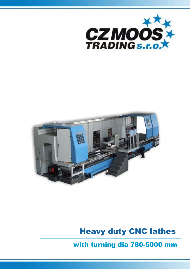



# Heavy duty CNC lathes

with turning dia 780-5000 mm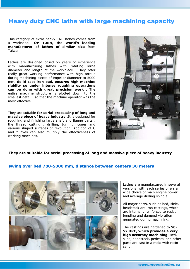## Heavy duty CNC lathe with large machining capacity

This category of extra heavy CNC lathes comes from a workshop **TOP TURN, the world's leading manufacturer of lathes of similar size** from Taiwan.

Lathes are designed based on years of experience with manufacturing lathes with rotating large diameter and length of the workpiece . They offer really great working performance with high torque during machining pieces of impeller diameter to 5000 mm. **Solid cast iron bed, ensures high machine rigidity so under intense roughing operations can be done with great precision work** . The entire machine structure is plotted down to the smallest detail , so that the machine operator was the most effective

They are suitable **for serial processing of long and massive piece of heavy industry** .It is designed for roughing and finishing large shaft and flange parts , the thread cutting , drilling, turning, cones and various shaped surfaces of revolution. Addition of C and Y axes can also multiply the effectiveness of working machines.



#### **They are suitable for serial processing of long and massive piece of heavy industry**.

#### **swing over bed 780-5000 mm, distance between centers 30 meters**



Lathes are manufactured in several versions, with each series offers a wide choice of main engine power and average drilling spindle.

All major parts, such as bed, slide, headstock are iron castings, which are internally reinforced to resist bending and damped vibration generated during machining.

The castings are hardened to **50- 52 HRC, which provides a very high accuracy machining.** Bed, slide, headstock, pedestal and other parts are cast in a mold with resin sand.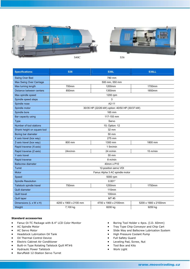



| <b>Specifications:</b>      | <b>S36</b>                                      | <b>S36L</b>          | <b>S36LL</b>         |  |  |
|-----------------------------|-------------------------------------------------|----------------------|----------------------|--|--|
| <b>Swing Over Bed</b>       |                                                 | 780 mm               |                      |  |  |
| Max Swing Over Carriage     | 500 mm, 550 mm                                  |                      |                      |  |  |
| Max turning length          | 700mm                                           | 1200mm               | 1700mm               |  |  |
| Distance between centers    | 850mm                                           | 1350mm               | 1850mm               |  |  |
| Max spindle speed           |                                                 | 1200 rpm             |                      |  |  |
| Spindle speed steps         | 3                                               |                      |                      |  |  |
| Spindle nose                | $A2-11$                                         |                      |                      |  |  |
| Spindle motor               | 30/35 HP (22/26 kW) option: 40/50 HP (30/37 kW) |                      |                      |  |  |
| Spindle bore                | 165 mm                                          |                      |                      |  |  |
| Bar capacity using          | 117-155 mm                                      |                      |                      |  |  |
| <b>Type</b>                 | Servo                                           |                      |                      |  |  |
| Number of tool stations     | 10; Option: 12                                  |                      |                      |  |  |
| Shank height on square tool | 32 mm                                           |                      |                      |  |  |
| Boring bar diameter         | 50 mm                                           |                      |                      |  |  |
| X axis travel (box way)     |                                                 | 275 mm               |                      |  |  |
| Z-axis travel (box way)     | 800 mm                                          | 1300 mm              | 1800 mm              |  |  |
| Rapid traverse (X-axis)     | 1.5m/min                                        |                      |                      |  |  |
| Rapid traverse (Z-axis)     | 24m/min                                         | $24 \text{ m/min}$   | $15 \text{ m/min}$   |  |  |
| Y-axis travel               |                                                 | 55 mm                |                      |  |  |
| Rapid traverse              | 8 m/min                                         |                      |                      |  |  |
| <b>Ballscrew diameter</b>   | 40mm x P10                                      |                      |                      |  |  |
| Turret                      | 12-position servo VDI                           |                      |                      |  |  |
| Motor                       | Fanuc Alpha 3 AC spindle motor                  |                      |                      |  |  |
| Speed                       | 5000 rpm                                        |                      |                      |  |  |
| <b>Spindle Resolution</b>   | $0.001^{\circ}$                                 |                      |                      |  |  |
| Tailstock spindle travel    | 750mm                                           | 1250mm               | 1750mm               |  |  |
| Quill diameter              | 110mm                                           |                      |                      |  |  |
| <b>Quill travel</b>         | 100mm                                           |                      |                      |  |  |
| Quill taper                 | MT #5                                           |                      |                      |  |  |
| Dimensions (L x W x H)      | 4200 x 1900 x 2100 mm                           | 4700 x 1900 x 2100mm | 5200 x 1900 x 2100mm |  |  |
| Weight                      | 7,100 kg                                        | 8200 kg              | 9250 kg              |  |  |

#### **Standard accessories**

- Fanuc Oi-TC Package with 8.4" LCD Color Monitor
- AC Spindle Motor
- AC Servo Motor
- Headstock Lubrication Oil Tank
- Oil Thermal Control Device
- Electric Cabinet Air Conditioner
- Built-in Type Rotating Tailstock Quill MT#6
- Hydraulic Power Tailstock
- Baruffaldi 12-Station Servo Turret
- Boring Tool Holder x 4pcs. (I.D. 60mm)
- Tray Type Chip Conveyor and Chip Cart
- Slide Way and Ballscrew Lubrication System
- High Pressure Coolant Pump
- Full Safety Guard
- Leveling Pad, Screw, Nut
- Tool Box and Kits
- Work Light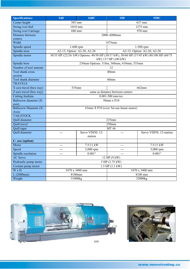| <b>Specifications:</b>          | <b>S40</b>                            | <b>S40C</b>                 | <b>S50</b>                               | <b>S50C</b>                                                                            |  |  |
|---------------------------------|---------------------------------------|-----------------------------|------------------------------------------|----------------------------------------------------------------------------------------|--|--|
| Center height                   |                                       | 505 mm                      |                                          | 637 mm                                                                                 |  |  |
| Swing over bed                  | 1010 mm                               |                             | 1275 mm                                  |                                                                                        |  |  |
| <b>Swing over Carriage</b>      |                                       | $\overline{6}80$ mm         |                                          | $\overline{970}$ mm                                                                    |  |  |
| Distance between                | 2000~6000mm                           |                             |                                          |                                                                                        |  |  |
| centers                         |                                       |                             |                                          |                                                                                        |  |  |
| Width                           |                                       |                             | 1475mm                                   |                                                                                        |  |  |
| Spindle speed                   |                                       | 1-600 rpm                   |                                          | 1-500 rpm                                                                              |  |  |
| Spindle nose                    |                                       | A2-15; Option: A2-20, A2-28 |                                          | A2-15; Option: A2-20, A2-28                                                            |  |  |
| Spindle motor                   |                                       |                             | kW) 137 HP (100 kW)                      | 30/35 HP (22/26/kW) Options: 40/50 HP (30/37 kW), 50/60 HP (37/45 kW) 80/100 HP (60/75 |  |  |
| Spindle bore                    |                                       |                             | 230mm Options: 318m, 360mm, 410mm, 535mm |                                                                                        |  |  |
| Number of tool stations         | 12                                    |                             |                                          |                                                                                        |  |  |
| Tool shank cross                | 40mm                                  |                             |                                          |                                                                                        |  |  |
| section                         |                                       |                             |                                          |                                                                                        |  |  |
| Tool shank diameter             | 60mm                                  |                             |                                          |                                                                                        |  |  |
| <b>TRAVELS</b>                  |                                       |                             |                                          |                                                                                        |  |  |
| X axis travel (box way)         | 535mm<br>662mm                        |                             |                                          |                                                                                        |  |  |
| Z-axis travel (box way)         | same as distance between centers      |                             |                                          |                                                                                        |  |  |
| <b>Cutting feedrate</b>         | $0.001 - 500$ mm/rev                  |                             |                                          |                                                                                        |  |  |
| Ballscrew diameter (X-<br>axis) | 50mm x P10                            |                             |                                          |                                                                                        |  |  |
| <b>Ballscrew Diameter (X-</b>   | 63mm X P10 (over 5m use linear motor) |                             |                                          |                                                                                        |  |  |
| Axis)                           |                                       |                             |                                          |                                                                                        |  |  |
| <b>TAILSTOCK</b>                |                                       |                             |                                          |                                                                                        |  |  |
| Quill diameter                  | 235mm                                 |                             |                                          |                                                                                        |  |  |
| <b>Quill travel</b>             | $250$ mm                              |                             |                                          |                                                                                        |  |  |
| Quill taper                     | MT #6                                 |                             |                                          |                                                                                        |  |  |
| Quill diameter                  |                                       | Servo VDI50, 12-<br>station |                                          | Servo VDI50, 12-station                                                                |  |  |
| C- axe (option)                 |                                       |                             |                                          |                                                                                        |  |  |
| Motor                           | ---                                   | 7.5/11 kW                   | $---$                                    | $7.5/11$ kW                                                                            |  |  |
| Speed                           | $---$                                 | 5,000 rpm                   | $---$                                    | 5,000 rpm                                                                              |  |  |
| Spindle resolution              | $---$                                 | $0.001^\circ$               | $---$                                    | $0.001^\circ$                                                                          |  |  |
| <b>AC Servo</b>                 | $12$ HP $(9$ kW)                      |                             |                                          |                                                                                        |  |  |
| Hydraulic pump motor            | 5 HP (3.75 kW)                        |                             |                                          |                                                                                        |  |  |
| Coolant pump motor              | $1.5$ HP $(1.1$ kW)                   |                             |                                          |                                                                                        |  |  |
| W x H                           | 3470 x 3400 mm                        |                             | 3470 x 3400 mm                           |                                                                                        |  |  |
| L(2000mm)                       | 8100mm                                |                             | 8100 mm                                  |                                                                                        |  |  |
| Weight                          | 31000kg                               |                             | 32000kg                                  |                                                                                        |  |  |



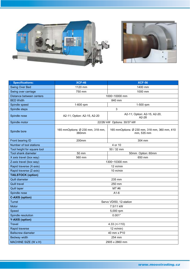



| <b>Specifications:</b>      | <b>XCF-46</b>                             | <b>XCF-56</b>                                              |  |  |
|-----------------------------|-------------------------------------------|------------------------------------------------------------|--|--|
| Swing Over Bed              | 1120 mm<br>1400 mm                        |                                                            |  |  |
| Swing over carriage         | 750 mm<br>1000 mm                         |                                                            |  |  |
| Distance between centers    | 1000~10000 mm                             |                                                            |  |  |
| <b>BED Width</b>            | 840 mm                                    |                                                            |  |  |
| Spindle speed               | 1-600 rpm<br>1-500 rpm                    |                                                            |  |  |
| Spindle steps               | 3                                         |                                                            |  |  |
| Spindle nose                | A2-11; Option: A2-15, A2-20               | A2-11; Option: A2-15, A2-20,<br>$A2-28$                    |  |  |
| Spindle motor               | 22/26/ kW Options: 30/37 kW               |                                                            |  |  |
| Spindle bore                | 165 mmOptions: Ø 230 mm, 318 mm,<br>360mm | 165 mmOptions: Ø 230 mm, 318 mm, 360 mm, 410<br>mm, 535 mm |  |  |
| Front bearing ID            | 200mm                                     | 304 mm                                                     |  |  |
| Number of tool stations     | 4 or 10                                   |                                                            |  |  |
| Tool height for square tool | 50 / 32 mm                                |                                                            |  |  |
| <b>Tool shank diameter</b>  | $50$ mm                                   | 50mm Option: 60mm                                          |  |  |
| X axis travel (box way)     | 560 mm                                    | 650 mm                                                     |  |  |
| Z-axis travel (box way)     | 1300~10300 mm                             |                                                            |  |  |
| Rapid traverse (X-axis)     | 12 m/min                                  |                                                            |  |  |
| Rapid traverse (Z-axis)     | $10 \text{ m/min}$                        |                                                            |  |  |
| <b>TAILSTOCK (option)</b>   |                                           |                                                            |  |  |
| Quill diameter              | 235 mm                                    |                                                            |  |  |
| <b>Quill travel</b>         | 250 mm                                    |                                                            |  |  |
| <b>Quill taper</b>          | MT#6                                      |                                                            |  |  |
| Spindle nose                | $A1-6$                                    |                                                            |  |  |
| <b>C-AXIS (option)</b>      |                                           |                                                            |  |  |
| Turret                      | Servo VDI50, 12-station                   |                                                            |  |  |
| Motor                       | 7.5/11 kW                                 |                                                            |  |  |
| Speed                       | 5,000 rpm                                 |                                                            |  |  |
| Spindle resolution          | $0.001^{\circ}$                           |                                                            |  |  |
| <b>Y-AXIS (option)</b>      |                                           |                                                            |  |  |
| <b>Travel</b>               | $4.33 (+/-110)$                           |                                                            |  |  |
| Rapid traverse              | $12 \text{ m/min}$                        |                                                            |  |  |
| <b>Ballscrew diameter</b>   | 40 mm x P10                               |                                                            |  |  |
| Bedway width                | 254 mm                                    |                                                            |  |  |
| MACHINE SIZE (W x H)        | 2905 x 2860 mm                            |                                                            |  |  |